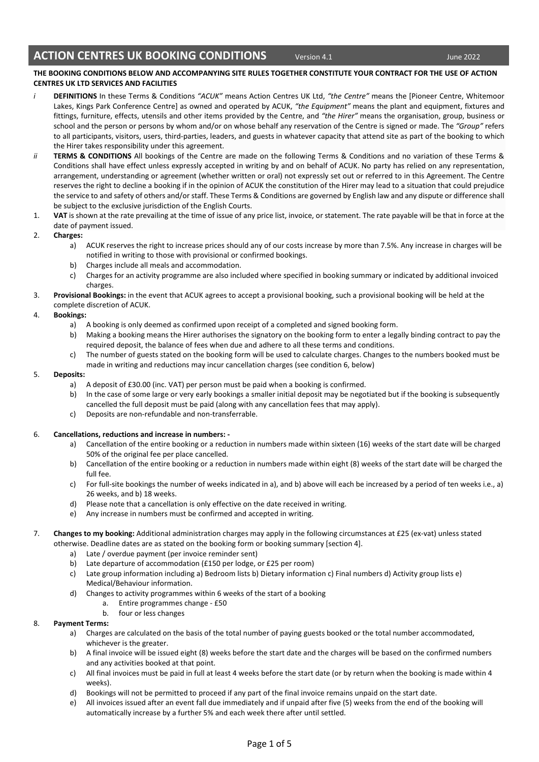### **THE BOOKING CONDITIONS BELOW AND ACCOMPANYING SITE RULES TOGETHER CONSTITUTE YOUR CONTRACT FOR THE USE OF ACTION CENTRES UK LTD SERVICES AND FACILITIES**

- *i* **DEFINITIONS** In these Terms & Conditions *"ACUK"* means Action Centres UK Ltd, *"the Centre"* means the [Pioneer Centre, Whitemoor Lakes, Kings Park Conference Centre] as owned and operated by ACUK, *"the Equipment"* means the plant and equipment, fixtures and fittings, furniture, effects, utensils and other items provided by the Centre, and *"the Hirer"* means the organisation, group, business or school and the person or persons by whom and/or on whose behalf any reservation of the Centre is signed or made. The *"Group"* refers to all participants, visitors, users, third-parties, leaders, and guests in whatever capacity that attend site as part of the booking to which the Hirer takes responsibility under this agreement.
- *ii* **TERMS & CONDITIONS** All bookings of the Centre are made on the following Terms & Conditions and no variation of these Terms & Conditions shall have effect unless expressly accepted in writing by and on behalf of ACUK. No party has relied on any representation, arrangement, understanding or agreement (whether written or oral) not expressly set out or referred to in this Agreement. The Centre reserves the right to decline a booking if in the opinion of ACUK the constitution of the Hirer may lead to a situation that could prejudice the service to and safety of others and/or staff. These Terms & Conditions are governed by English law and any dispute or difference shall be subject to the exclusive jurisdiction of the English Courts.
- 1. **VAT** is shown at the rate prevailing at the time of issue of any price list, invoice, or statement. The rate payable will be that in force at the date of payment issued.
- 2. **Charges:**
	- a) ACUK reserves the right to increase prices should any of our costs increase by more than 7.5%. Any increase in charges will be notified in writing to those with provisional or confirmed bookings.
	- b) Charges include all meals and accommodation.
	- c) Charges for an activity programme are also included where specified in booking summary or indicated by additional invoiced charges.
- 3. **Provisional Bookings:** in the event that ACUK agrees to accept a provisional booking, such a provisional booking will be held at the complete discretion of ACUK.

## 4. **Bookings:**

- a) A booking is only deemed as confirmed upon receipt of a completed and signed booking form.
- b) Making a booking means the Hirer authorises the signatory on the booking form to enter a legally binding contract to pay the required deposit, the balance of fees when due and adhere to all these terms and conditions.
- c) The number of guests stated on the booking form will be used to calculate charges. Changes to the numbers booked must be made in writing and reductions may incur cancellation charges (see condition 6, below)

## 5. **Deposits:**

- a) A deposit of £30.00 (inc. VAT) per person must be paid when a booking is confirmed.
- b) In the case of some large or very early bookings a smaller initial deposit may be negotiated but if the booking is subsequently cancelled the full deposit must be paid (along with any cancellation fees that may apply).
- c) Deposits are non-refundable and non-transferrable.

## 6. **Cancellations, reductions and increase in numbers: -**

- a) Cancellation of the entire booking or a reduction in numbers made within sixteen (16) weeks of the start date will be charged 50% of the original fee per place cancelled.
- b) Cancellation of the entire booking or a reduction in numbers made within eight (8) weeks of the start date will be charged the full fee.
- c) For full-site bookings the number of weeks indicated in a), and b) above will each be increased by a period of ten weeks i.e., a) 26 weeks, and b) 18 weeks.
- d) Please note that a cancellation is only effective on the date received in writing.
- e) Any increase in numbers must be confirmed and accepted in writing.
- 7. **Changes to my booking:** Additional administration charges may apply in the following circumstances at £25 (ex-vat) unless stated otherwise. Deadline dates are as stated on the booking form or booking summary [section 4].
	- a) Late / overdue payment (per invoice reminder sent)
	- b) Late departure of accommodation (£150 per lodge, or £25 per room)
	- c) Late group information including a) Bedroom lists b) Dietary information c) Final numbers d) Activity group lists e) Medical/Behaviour information.
	- d) Changes to activity programmes within 6 weeks of the start of a booking
		- a. Entire programmes change £50
		- b. four or less changes

#### 8. **Payment Terms:**

- a) Charges are calculated on the basis of the total number of paying guests booked or the total number accommodated, whichever is the greater.
- b) A final invoice will be issued eight (8) weeks before the start date and the charges will be based on the confirmed numbers and any activities booked at that point.
- c) All final invoices must be paid in full at least 4 weeks before the start date (or by return when the booking is made within 4 weeks).
- d) Bookings will not be permitted to proceed if any part of the final invoice remains unpaid on the start date.
- e) All invoices issued after an event fall due immediately and if unpaid after five (5) weeks from the end of the booking will automatically increase by a further 5% and each week there after until settled.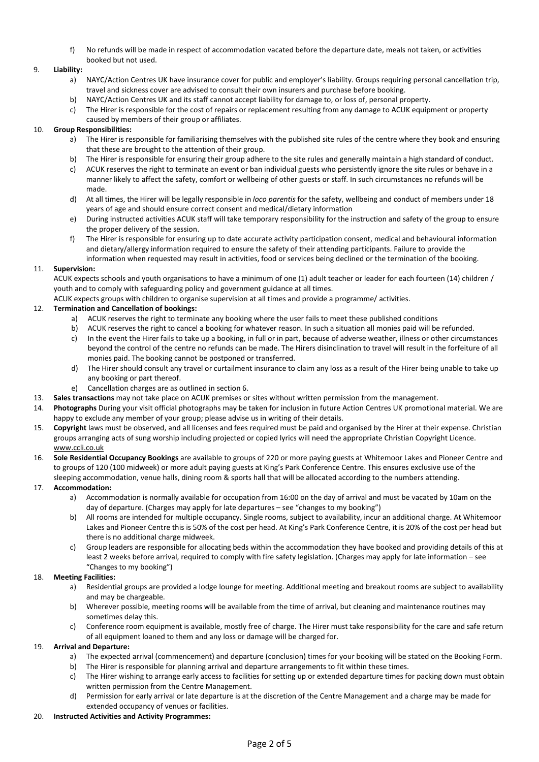f) No refunds will be made in respect of accommodation vacated before the departure date, meals not taken, or activities booked but not used.

# 9. **Liability:**

- a) NAYC/Action Centres UK have insurance cover for public and employer's liability. Groups requiring personal cancellation trip, travel and sickness cover are advised to consult their own insurers and purchase before booking.
- b) NAYC/Action Centres UK and its staff cannot accept liability for damage to, or loss of, personal property.
- c) The Hirer is responsible for the cost of repairs or replacement resulting from any damage to ACUK equipment or property caused by members of their group or affiliates.

# 10. **Group Responsibilities:**

- a) The Hirer is responsible for familiarising themselves with the published site rules of the centre where they book and ensuring that these are brought to the attention of their group.
- b) The Hirer is responsible for ensuring their group adhere to the site rules and generally maintain a high standard of conduct.
- c) ACUK reserves the right to terminate an event or ban individual guests who persistently ignore the site rules or behave in a manner likely to affect the safety, comfort or wellbeing of other guests or staff. In such circumstances no refunds will be made.
- d) At all times, the Hirer will be legally responsible in *loco parentis* for the safety, wellbeing and conduct of members under 18 years of age and should ensure correct consent and medical/dietary information
- e) During instructed activities ACUK staff will take temporary responsibility for the instruction and safety of the group to ensure the proper delivery of the session.
- f) The Hirer is responsible for ensuring up to date accurate activity participation consent, medical and behavioural information and dietary/allergy information required to ensure the safety of their attending participants. Failure to provide the information when requested may result in activities, food or services being declined or the termination of the booking.

# 11. **Supervision:**

ACUK expects schools and youth organisations to have a minimum of one (1) adult teacher or leader for each fourteen (14) children / youth and to comply with safeguarding policy and government guidance at all times.

ACUK expects groups with children to organise supervision at all times and provide a programme/ activities.

# 12. **Termination and Cancellation of bookings:**

- a) ACUK reserves the right to terminate any booking where the user fails to meet these published conditions
- b) ACUK reserves the right to cancel a booking for whatever reason. In such a situation all monies paid will be refunded.
- c) In the event the Hirer fails to take up a booking, in full or in part, because of adverse weather, illness or other circumstances beyond the control of the centre no refunds can be made. The Hirers disinclination to travel will result in the forfeiture of all monies paid. The booking cannot be postponed or transferred.
- d) The Hirer should consult any travel or curtailment insurance to claim any loss as a result of the Hirer being unable to take up any booking or part thereof.
- e) Cancellation charges are as outlined in section 6.
- 13. **Sales transactions** may not take place on ACUK premises or sites without written permission from the management.
- 14. **Photographs** During your visit official photographs may be taken for inclusion in future Action Centres UK promotional material. We are happy to exclude any member of your group; please advise us in writing of their details.
- 15. **Copyright** laws must be observed, and all licenses and fees required must be paid and organised by the Hirer at their expense. Christian groups arranging acts of sung worship including projected or copied lyrics will need the appropriate Christian Copyright Licence. [www.ccli.co.uk](http://www.ccli.co.uk/)
- 16. **Sole Residential Occupancy Bookings** are available to groups of 220 or more paying guests at Whitemoor Lakes and Pioneer Centre and to groups of 120 (100 midweek) or more adult paying guests at King's Park Conference Centre. This ensures exclusive use of the sleeping accommodation, venue halls, dining room & sports hall that will be allocated according to the numbers attending.

## 17. **Accommodation:**

- a) Accommodation is normally available for occupation from 16:00 on the day of arrival and must be vacated by 10am on the day of departure. (Charges may apply for late departures – see "changes to my booking")
- b) All rooms are intended for multiple occupancy. Single rooms, subject to availability, incur an additional charge. At Whitemoor Lakes and Pioneer Centre this is 50% of the cost per head. At King's Park Conference Centre, it is 20% of the cost per head but there is no additional charge midweek.
- c) Group leaders are responsible for allocating beds within the accommodation they have booked and providing details of this at least 2 weeks before arrival, required to comply with fire safety legislation. (Charges may apply for late information – see "Changes to my booking")

## 18. **Meeting Facilities:**

- a) Residential groups are provided a lodge lounge for meeting. Additional meeting and breakout rooms are subject to availability and may be chargeable.
- b) Wherever possible, meeting rooms will be available from the time of arrival, but cleaning and maintenance routines may sometimes delay this.
- c) Conference room equipment is available, mostly free of charge. The Hirer must take responsibility for the care and safe return of all equipment loaned to them and any loss or damage will be charged for.

## 19. **Arrival and Departure:**

- a) The expected arrival (commencement) and departure (conclusion) times for your booking will be stated on the Booking Form.
- b) The Hirer is responsible for planning arrival and departure arrangements to fit within these times.
- c) The Hirer wishing to arrange early access to facilities for setting up or extended departure times for packing down must obtain written permission from the Centre Management.
- d) Permission for early arrival or late departure is at the discretion of the Centre Management and a charge may be made for extended occupancy of venues or facilities.

## 20. **Instructed Activities and Activity Programmes:**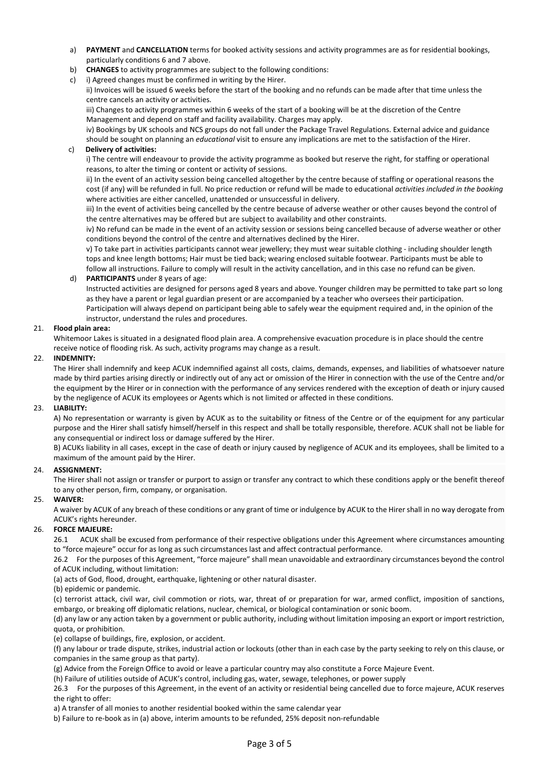- a) **PAYMENT** and **CANCELLATION** terms for booked activity sessions and activity programmes are as for residential bookings, particularly conditions 6 and 7 above.
- b) **CHANGES** to activity programmes are subject to the following conditions:
- c) i) Agreed changes must be confirmed in writing by the Hirer.
	- ii) Invoices will be issued 6 weeks before the start of the booking and no refunds can be made after that time unless the centre cancels an activity or activities.

iii) Changes to activity programmes within 6 weeks of the start of a booking will be at the discretion of the Centre Management and depend on staff and facility availability. Charges may apply.

iv) Bookings by UK schools and NCS groups do not fall under the Package Travel Regulations. External advice and guidance should be sought on planning an *educational* visit to ensure any implications are met to the satisfaction of the Hirer.

#### c) **Delivery of activities:**

i) The centre will endeavour to provide the activity programme as booked but reserve the right, for staffing or operational reasons, to alter the timing or content or activity of sessions.

ii) In the event of an activity session being cancelled altogether by the centre because of staffing or operational reasons the cost (if any) will be refunded in full. No price reduction or refund will be made to educational *activities included in the booking* where activities are either cancelled, unattended or unsuccessful in delivery.

iii) In the event of activities being cancelled by the centre because of adverse weather or other causes beyond the control of the centre alternatives may be offered but are subject to availability and other constraints.

iv) No refund can be made in the event of an activity session or sessions being cancelled because of adverse weather or other conditions beyond the control of the centre and alternatives declined by the Hirer.

v) To take part in activities participants cannot wear jewellery; they must wear suitable clothing - including shoulder length tops and knee length bottoms; Hair must be tied back; wearing enclosed suitable footwear. Participants must be able to follow all instructions. Failure to comply will result in the activity cancellation, and in this case no refund can be given.

#### d) **PARTICIPANTS** under 8 years of age:

Instructed activities are designed for persons aged 8 years and above. Younger children may be permitted to take part so long as they have a parent or legal guardian present or are accompanied by a teacher who oversees their participation. Participation will always depend on participant being able to safely wear the equipment required and, in the opinion of the instructor, understand the rules and procedures.

#### 21. **Flood plain area:**

Whitemoor Lakes is situated in a designated flood plain area. A comprehensive evacuation procedure is in place should the centre receive notice of flooding risk. As such, activity programs may change as a result.

## 22. **INDEMNITY:**

The Hirer shall indemnify and keep ACUK indemnified against all costs, claims, demands, expenses, and liabilities of whatsoever nature made by third parties arising directly or indirectly out of any act or omission of the Hirer in connection with the use of the Centre and/or the equipment by the Hirer or in connection with the performance of any services rendered with the exception of death or injury caused by the negligence of ACUK its employees or Agents which is not limited or affected in these conditions.

## 23. **LIABILITY:**

A) No representation or warranty is given by ACUK as to the suitability or fitness of the Centre or of the equipment for any particular purpose and the Hirer shall satisfy himself/herself in this respect and shall be totally responsible, therefore. ACUK shall not be liable for any consequential or indirect loss or damage suffered by the Hirer.

B) ACUKs liability in all cases, except in the case of death or injury caused by negligence of ACUK and its employees, shall be limited to a maximum of the amount paid by the Hirer.

#### 24. **ASSIGNMENT:**

The Hirer shall not assign or transfer or purport to assign or transfer any contract to which these conditions apply or the benefit thereof to any other person, firm, company, or organisation.

## 25. **WAIVER:**

A waiver by ACUK of any breach of these conditions or any grant of time or indulgence by ACUK to the Hirer shall in no way derogate from ACUK's rights hereunder.

## 26. **FORCE MAJEURE:**

26.1 ACUK shall be excused from performance of their respective obligations under this Agreement where circumstances amounting to "force majeure" occur for as long as such circumstances last and affect contractual performance.

26.2 For the purposes of this Agreement, "force majeure" shall mean unavoidable and extraordinary circumstances beyond the control of ACUK including, without limitation:

(a) acts of God, flood, drought, earthquake, lightening or other natural disaster.

(b) epidemic or pandemic.

(c) terrorist attack, civil war, civil commotion or riots, war, threat of or preparation for war, armed conflict, imposition of sanctions, embargo, or breaking off diplomatic relations, nuclear, chemical, or biological contamination or sonic boom.

(d) any law or any action taken by a government or public authority, including without limitation imposing an export or import restriction, quota, or prohibition.

(e) collapse of buildings, fire, explosion, or accident.

(f) any labour or trade dispute, strikes, industrial action or lockouts (other than in each case by the party seeking to rely on this clause, or companies in the same group as that party).

(g) Advice from the Foreign Office to avoid or leave a particular country may also constitute a Force Majeure Event.

(h) Failure of utilities outside of ACUK's control, including gas, water, sewage, telephones, or power supply

26.3 For the purposes of this Agreement, in the event of an activity or residential being cancelled due to force majeure, ACUK reserves the right to offer:

a) A transfer of all monies to another residential booked within the same calendar year

b) Failure to re-book as in (a) above, interim amounts to be refunded, 25% deposit non-refundable